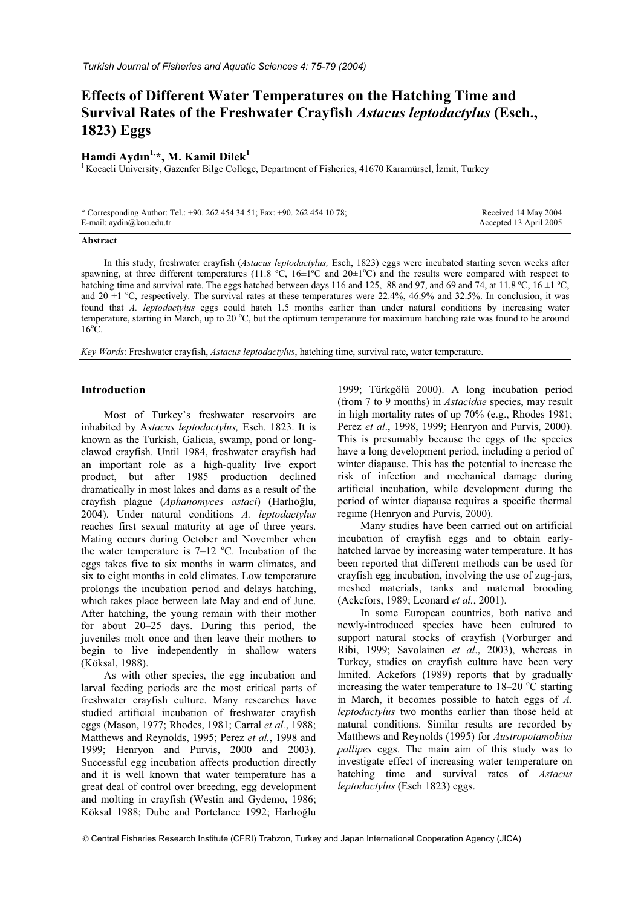# **Effects of Different Water Temperatures on the Hatching Time and Survival Rates of the Freshwater Crayfish** *Astacus leptodactylus* **(Esch., 1823) Eggs**

## **Hamdi Aydın1,\*, M. Kamil Dilek1**

 $1$  Kocaeli University, Gazenfer Bilge College, Department of Fisheries, 41670 Karamürsel, İzmit, Turkey

| * Corresponding Author: Tel.: +90. 262 454 34 51; Fax: +90. 262 454 10 78; | Received 14 May 2004   |
|----------------------------------------------------------------------------|------------------------|
| E-mail: $\alpha$ ydin@kou.edu.tr                                           | Accepted 13 April 2005 |

#### **Abstract**

In this study, freshwater crayfish (*Astacus leptodactylus,* Esch, 1823) eggs were incubated starting seven weeks after spawning, at three different temperatures (11.8 °C, 16 $\pm$ 1°C and 20 $\pm$ 1°C) and the results were compared with respect to hatching time and survival rate. The eggs hatched between days 116 and 125, 88 and 97, and 69 and 74, at 11.8 °C, 16  $\pm$ 1 °C, and 20  $\pm$ 1 °C, respectively. The survival rates at these temperatures were 22.4%, 46.9% and 32.5%. In conclusion, it was found that *A. leptodactylus* eggs could hatch 1.5 months earlier than under natural conditions by increasing water temperature, starting in March, up to 20 °C, but the optimum temperature for maximum hatching rate was found to be around  $16^{\circ}$ C.

*Key Words*: Freshwater crayfish, *Astacus leptodactylus*, hatching time, survival rate, water temperature.

#### **Introduction**

Most of Turkey's freshwater reservoirs are inhabited by A*stacus leptodactylus,* Esch. 1823. It is known as the Turkish, Galicia, swamp, pond or longclawed crayfish. Until 1984, freshwater crayfish had an important role as a high-quality live export product, but after 1985 production declined dramatically in most lakes and dams as a result of the crayfish plague (Aphanomyces astaci) (Harlıoğlu, 2004). Under natural conditions *A. leptodactylus* reaches first sexual maturity at age of three years. Mating occurs during October and November when the water temperature is  $7-12$  °C. Incubation of the eggs takes five to six months in warm climates, and six to eight months in cold climates. Low temperature prolongs the incubation period and delays hatching, which takes place between late May and end of June. After hatching, the young remain with their mother for about 20–25 days. During this period, the juveniles molt once and then leave their mothers to begin to live independently in shallow waters (Köksal, 1988).

As with other species, the egg incubation and larval feeding periods are the most critical parts of freshwater crayfish culture. Many researches have studied artificial incubation of freshwater crayfish eggs (Mason, 1977; Rhodes, 1981; Carral *et al.*, 1988; Matthews and Reynolds, 1995; Perez *et al.*, 1998 and 1999; Henryon and Purvis, 2000 and 2003). Successful egg incubation affects production directly and it is well known that water temperature has a great deal of control over breeding, egg development and molting in crayfish (Westin and Gydemo, 1986; Köksal 1988; Dube and Portelance 1992; Harlıoğlu

1999; Türkgölü 2000). A long incubation period (from 7 to 9 months) in *Astacidae* species, may result in high mortality rates of up 70% (e.g., Rhodes 1981; Perez *et al*., 1998, 1999; Henryon and Purvis, 2000). This is presumably because the eggs of the species have a long development period, including a period of winter diapause. This has the potential to increase the risk of infection and mechanical damage during artificial incubation, while development during the period of winter diapause requires a specific thermal regime (Henryon and Purvis, 2000).

Many studies have been carried out on artificial incubation of crayfish eggs and to obtain earlyhatched larvae by increasing water temperature. It has been reported that different methods can be used for crayfish egg incubation, involving the use of zug-jars, meshed materials, tanks and maternal brooding (Ackefors, 1989; Leonard *et al.*, 2001).

In some European countries, both native and newly-introduced species have been cultured to support natural stocks of crayfish (Vorburger and Ribi, 1999; Savolainen *et al*., 2003), whereas in Turkey, studies on crayfish culture have been very limited. Ackefors (1989) reports that by gradually increasing the water temperature to  $18-20$  °C starting in March, it becomes possible to hatch eggs of *A. leptodactylus* two months earlier than those held at natural conditions. Similar results are recorded by Matthews and Reynolds (1995) for *Austropotamobius pallipes* eggs. The main aim of this study was to investigate effect of increasing water temperature on hatching time and survival rates of *Astacus leptodactylus* (Esch 1823) eggs.

© Central Fisheries Research Institute (CFRI) Trabzon, Turkey and Japan International Cooperation Agency (JICA)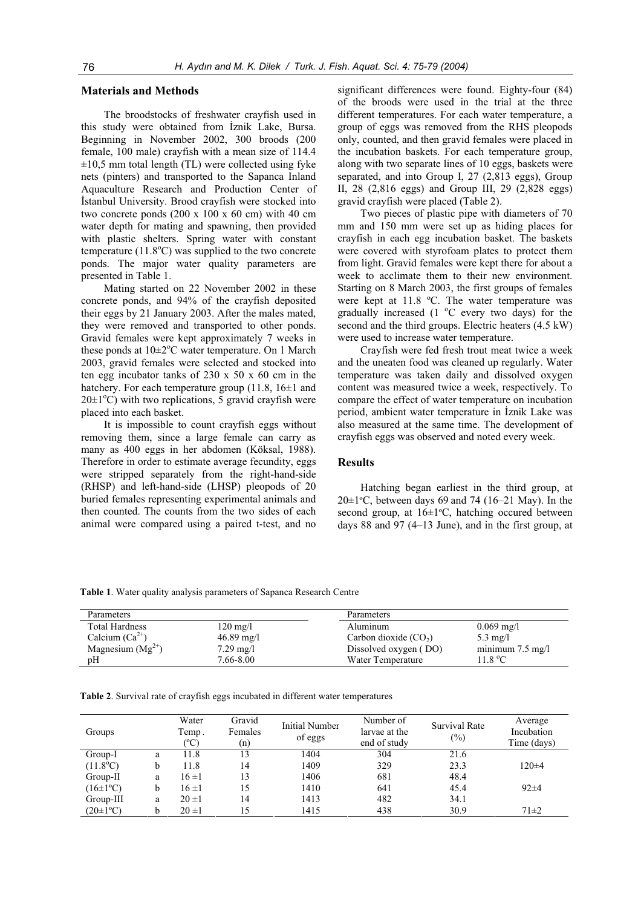## **Materials and Methods**

The broodstocks of freshwater crayfish used in this study were obtained from İznik Lake, Bursa. Beginning in November 2002, 300 broods (200 female, 100 male) crayfish with a mean size of 114.4  $\pm 10,5$  mm total length (TL) were collected using fyke nets (pinters) and transported to the Sapanca Inland Aquaculture Research and Production Center of Istanbul University. Brood crayfish were stocked into two concrete ponds (200 x 100 x 60 cm) with 40 cm water depth for mating and spawning, then provided with plastic shelters. Spring water with constant temperature  $(11.8^{\circ}\text{C})$  was supplied to the two concrete ponds. The major water quality parameters are presented in Table 1.

Mating started on 22 November 2002 in these concrete ponds, and 94% of the crayfish deposited their eggs by 21 January 2003. After the males mated, they were removed and transported to other ponds. Gravid females were kept approximately 7 weeks in these ponds at  $10\pm2\degree C$  water temperature. On 1 March 2003, gravid females were selected and stocked into ten egg incubator tanks of 230 x 50 x 60 cm in the hatchery. For each temperature group  $(11.8, 16\pm 1)$  and  $20 \pm 1$ °C) with two replications, 5 gravid crayfish were placed into each basket.

It is impossible to count crayfish eggs without removing them, since a large female can carry as many as 400 eggs in her abdomen (Köksal, 1988). Therefore in order to estimate average fecundity, eggs were stripped separately from the right-hand-side (RHSP) and left-hand-side (LHSP) pleopods of 20 buried females representing experimental animals and then counted. The counts from the two sides of each animal were compared using a paired t-test, and no

significant differences were found. Eighty-four (84) of the broods were used in the trial at the three different temperatures. For each water temperature, a group of eggs was removed from the RHS pleopods only, counted, and then gravid females were placed in the incubation baskets. For each temperature group, along with two separate lines of 10 eggs, baskets were separated, and into Group I, 27 (2,813 eggs), Group II, 28 (2,816 eggs) and Group III, 29 (2,828 eggs) gravid crayfish were placed (Table 2).

Two pieces of plastic pipe with diameters of 70 mm and 150 mm were set up as hiding places for crayfish in each egg incubation basket. The baskets were covered with styrofoam plates to protect them from light. Gravid females were kept there for about a week to acclimate them to their new environment. Starting on 8 March 2003, the first groups of females were kept at 11.8 ºC. The water temperature was gradually increased  $(1 \ ^{\circ}C$  every two days) for the second and the third groups. Electric heaters (4.5 kW) were used to increase water temperature.

Crayfish were fed fresh trout meat twice a week and the uneaten food was cleaned up regularly. Water temperature was taken daily and dissolved oxygen content was measured twice a week, respectively. To compare the effect of water temperature on incubation period, ambient water temperature in *Iznik Lake* was also measured at the same time. The development of crayfish eggs was observed and noted every week.

#### **Results**

Hatching began earliest in the third group, at 20 $\pm$ 1°C, between days 69 and 74 (16–21 May). In the second group, at 16±1ºC, hatching occured between days 88 and 97 (4–13 June), and in the first group, at

**Table 1**. Water quality analysis parameters of Sapanca Research Centre

| Parameters            |                      | Parameters             |                            |
|-----------------------|----------------------|------------------------|----------------------------|
| <b>Total Hardness</b> | $120 \text{ mg}/1$   | Aluminum               | $0.069 \text{ mg}/1$       |
| Calcium $(Ca^{2+})$   | $46.89 \text{ mg}/1$ | Carbon dioxide $(CO2)$ | $5.3 \text{ mg/l}$         |
| Magnesium $(Mg^{2+})$ | $7.29 \text{ mg}/1$  | Dissolved oxygen (DO)  | minimum $7.5 \text{ mg/l}$ |
| pH                    | 7.66-8.00            | Water Temperature      | 11.8 °C                    |

**Table 2**. Survival rate of crayfish eggs incubated in different water temperatures

| Groups              |   | Water<br>Temp.<br>(°C) | Gravid<br>Females<br>(n) | <b>Initial Number</b><br>of eggs | Number of<br>larvae at the<br>end of study | Survival Rate<br>$\frac{1}{2}$ | Average<br>Incubation<br>Time (days) |
|---------------------|---|------------------------|--------------------------|----------------------------------|--------------------------------------------|--------------------------------|--------------------------------------|
| Group-I             | a | 11.8                   | 13                       | 1404                             | 304                                        | 21.6                           |                                      |
| $(11.8^{\circ}C)$   | b | 11.8                   | 14                       | 1409                             | 329                                        | 23.3                           | $120 + 4$                            |
| Group-II            | a | $16 \pm 1$             | 13                       | 1406                             | 681                                        | 48.4                           |                                      |
| $(16\pm1\text{°C})$ | b | $16 \pm 1$             | 15                       | 1410                             | 641                                        | 45.4                           | $92 \pm 4$                           |
| Group-III           | a | $20 \pm 1$             | 14                       | 1413                             | 482                                        | 34.1                           |                                      |
| $(20\pm1\text{°C})$ | b | $20 \pm 1$             |                          | 1415                             | 438                                        | 30.9                           | $71 \pm 2$                           |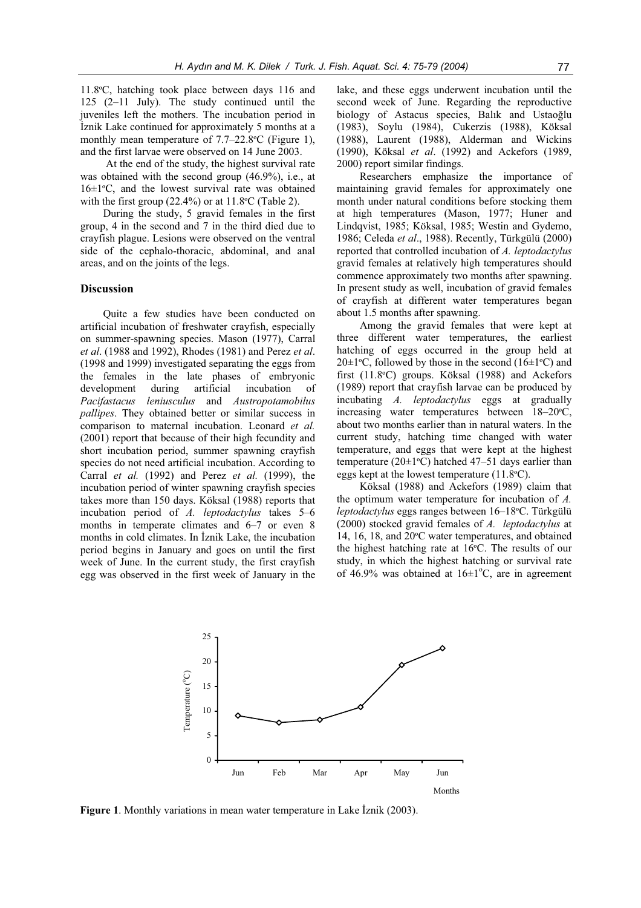11.8ºC, hatching took place between days 116 and 125 (2–11 July). The study continued until the juveniles left the mothers. The incubation period in **İznik Lake continued for approximately 5 months at a** monthly mean temperature of 7.7–22.8ºC (Figure 1), and the first larvae were observed on 14 June 2003.

 At the end of the study, the highest survival rate was obtained with the second group (46.9%), i.e., at 16±1ºC, and the lowest survival rate was obtained with the first group (22.4%) or at 11.8ºC (Table 2).

During the study, 5 gravid females in the first group, 4 in the second and 7 in the third died due to crayfish plague. Lesions were observed on the ventral side of the cephalo-thoracic, abdominal, and anal areas, and on the joints of the legs.

## **Discussion**

Quite a few studies have been conducted on artificial incubation of freshwater crayfish, especially on summer-spawning species. Mason (1977), Carral *et al*. (1988 and 1992), Rhodes (1981) and Perez *et al*. (1998 and 1999) investigated separating the eggs from the females in the late phases of embryonic development during artificial incubation of *Pacifastacus leniusculus* and *Austropotamobilus pallipes*. They obtained better or similar success in comparison to maternal incubation. Leonard *et al.*  (2001) report that because of their high fecundity and short incubation period, summer spawning crayfish species do not need artificial incubation. According to Carral *et al.* (1992) and Perez *et al.* (1999), the incubation period of winter spawning crayfish species takes more than 150 days. Köksal (1988) reports that incubation period of *A. leptodactylus* takes 5–6 months in temperate climates and 6–7 or even 8 months in cold climates. In Iznik Lake, the incubation period begins in January and goes on until the first week of June. In the current study, the first crayfish egg was observed in the first week of January in the lake, and these eggs underwent incubation until the second week of June. Regarding the reproductive biology of Astacus species, Balık and Ustaoğlu (1983), Soylu (1984), Cukerzis (1988), Köksal (1988), Laurent (1988), Alderman and Wickins (1990), Köksal *et al*. (1992) and Ackefors (1989, 2000) report similar findings.

Researchers emphasize the importance of maintaining gravid females for approximately one month under natural conditions before stocking them at high temperatures (Mason, 1977; Huner and Lindqvist, 1985; Köksal, 1985; Westin and Gydemo, 1986; Celeda *et al*., 1988). Recently, Türkgülü (2000) reported that controlled incubation of *A. leptodactylus*  gravid females at relatively high temperatures should commence approximately two months after spawning. In present study as well, incubation of gravid females of crayfish at different water temperatures began about 1.5 months after spawning.

Among the gravid females that were kept at three different water temperatures, the earliest hatching of eggs occurred in the group held at  $20 \pm 1$ <sup>o</sup>C, followed by those in the second (16 $\pm 1$ <sup>o</sup>C) and first (11.8ºC) groups. Köksal (1988) and Ackefors (1989) report that crayfish larvae can be produced by incubating *A. leptodactylus* eggs at gradually increasing water temperatures between 18–20ºC, about two months earlier than in natural waters. In the current study, hatching time changed with water temperature, and eggs that were kept at the highest temperature (20±1ºC) hatched 47–51 days earlier than eggs kept at the lowest temperature (11.8ºC).

Köksal (1988) and Ackefors (1989) claim that the optimum water temperature for incubation of *A. leptodactylus* eggs ranges between 16–18ºC. Türkgülü (2000) stocked gravid females of *A. leptodactylus* at 14, 16, 18, and 20ºC water temperatures, and obtained the highest hatching rate at 16ºC. The results of our study, in which the highest hatching or survival rate of 46.9% was obtained at  $16\pm1\textsuperscript{o}$ C, are in agreement



**Figure 1**. Monthly variations in mean water temperature in Lake Iznik (2003).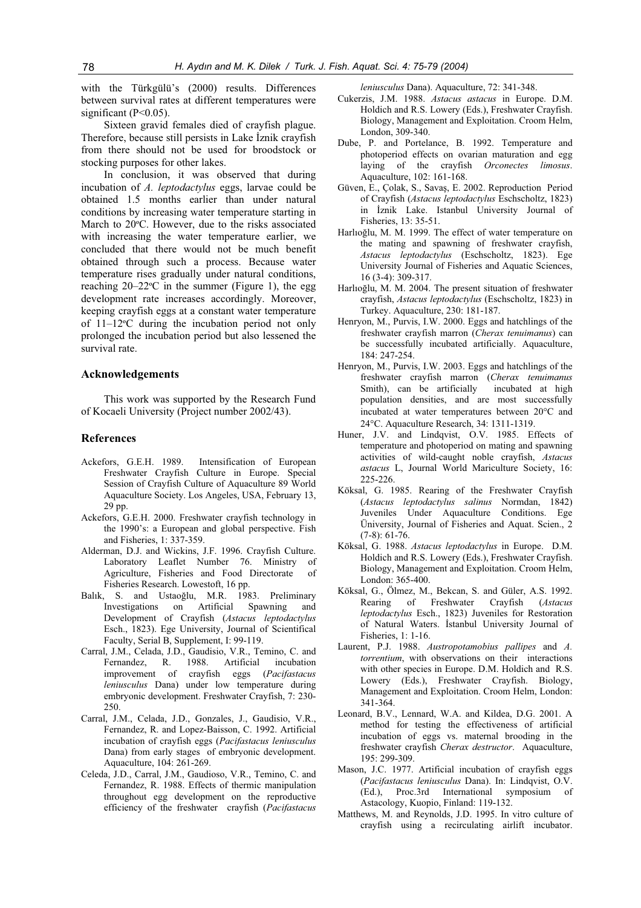with the Türkgülü's (2000) results. Differences between survival rates at different temperatures were significant  $(P<0.05)$ .

Sixteen gravid females died of crayfish plague. Therefore, because still persists in Lake Iznik crayfish from there should not be used for broodstock or stocking purposes for other lakes.

In conclusion, it was observed that during incubation of *A. leptodactylus* eggs, larvae could be obtained 1.5 months earlier than under natural conditions by increasing water temperature starting in March to 20ºC. However, due to the risks associated with increasing the water temperature earlier, we concluded that there would not be much benefit obtained through such a process. Because water temperature rises gradually under natural conditions, reaching 20–22ºC in the summer (Figure 1), the egg development rate increases accordingly. Moreover, keeping crayfish eggs at a constant water temperature of 11–12ºC during the incubation period not only prolonged the incubation period but also lessened the survival rate.

#### **Acknowledgements**

This work was supported by the Research Fund of Kocaeli University (Project number 2002/43).

#### **References**

- Ackefors, G.E.H. 1989. Intensification of European Freshwater Crayfish Culture in Europe. Special Session of Crayfish Culture of Aquaculture 89 World Aquaculture Society. Los Angeles, USA, February 13, 29 pp.
- Ackefors, G.E.H. 2000. Freshwater crayfish technology in the 1990's: a European and global perspective. Fish and Fisheries, 1: 337-359.
- Alderman, D.J. and Wickins, J.F. 1996. Crayfish Culture. Laboratory Leaflet Number 76. Ministry of Agriculture, Fisheries and Food Directorate of Fisheries Research. Lowestoft, 16 pp.
- Balık, S. and Ustaoğlu, M.R. 1983. Preliminary Investigations on Artificial Spawning and Development of Crayfish (*Astacus leptodactylus* Esch., 1823). Ege University, Journal of Scientifical Faculty, Serial B, Supplement, I: 99-119.
- Carral, J.M., Celada, J.D., Gaudisio, V.R., Temino, C. and Fernandez, R. 1988. Artificial incubation improvement of crayfish eggs (*Pacifastacus leniusculus* Dana) under low temperature during embryonic development. Freshwater Crayfish, 7: 230- 250.
- Carral, J.M., Celada, J.D., Gonzales, J., Gaudisio, V.R., Fernandez, R. and Lopez-Baisson, C. 1992. Artificial incubation of crayfish eggs (*Pacifastacus leniusculus*  Dana) from early stages of embryonic development. Aquaculture, 104: 261-269.
- Celeda, J.D., Carral, J.M., Gaudioso, V.R., Temino, C. and Fernandez, R. 1988. Effects of thermic manipulation throughout egg development on the reproductive efficiency of the freshwater crayfish (*Pacifastacus*

*leniusculus* Dana). Aquaculture, 72: 341-348.

- Cukerzis, J.M. 1988. *Astacus astacus* in Europe. D.M. Holdich and R.S. Lowery (Eds.), Freshwater Crayfish. Biology, Management and Exploitation. Croom Helm, London, 309-340.
- Dube, P. and Portelance, B. 1992. Temperature and photoperiod effects on ovarian maturation and egg laying of the crayfish *Orconectes limosus*. Aquaculture, 102: 161-168.
- Güven, E., Colak, S., Savas, E. 2002. Reproduction Period of Crayfish (*Astacus leptodactylus* Eschscholtz, 1823) in İznik Lake. Istanbul University Journal of Fisheries, 13: 35-51.
- Harlıoğlu, M. M. 1999. The effect of water temperature on the mating and spawning of freshwater crayfish, *Astacus leptodactylus* (Eschscholtz, 1823). Ege University Journal of Fisheries and Aquatic Sciences, 16 (3-4): 309-317.
- Harlıoğlu, M. M. 2004. The present situation of freshwater crayfish, *Astacus leptodactylus* (Eschscholtz, 1823) in Turkey. Aquaculture, 230: 181-187.
- Henryon, M., Purvis, I.W. 2000. Eggs and hatchlings of the freshwater crayfish marron (*Cherax tenuimanus*) can be successfully incubated artificially. Aquaculture, 184: 247-254.
- Henryon, M., Purvis, I.W. 2003. Eggs and hatchlings of the freshwater crayfish marron (*Cherax tenuimanus*  Smith), can be artificially incubated at high population densities, and are most successfully incubated at water temperatures between  $20^{\circ}$ C and 24°C. Aquaculture Research, 34: 1311-1319.
- Huner, J.V. and Lindqvist, O.V. 1985. Effects of temperature and photoperiod on mating and spawning activities of wild-caught noble crayfish, *Astacus astacus* L, Journal World Mariculture Society, 16: 225-226.
- Köksal, G. 1985. Rearing of the Freshwater Crayfish (*Astacus leptodactylus salinus* Normdan, 1842) Juveniles Under Aquaculture Conditions. Ege Üniversity, Journal of Fisheries and Aquat. Scien., 2 (7-8): 61-76.
- Köksal, G. 1988. *Astacus leptodactylus* in Europe. D.M. Holdich and R.S. Lowery (Eds.), Freshwater Crayfish. Biology, Management and Exploitation. Croom Helm, London: 365-400.
- Köksal, G., Ölmez, M., Bekcan, S. and Güler, A.S. 1992. Rearing of Freshwater Crayfish (*Astacus leptodactylus* Esch., 1823) Juveniles for Restoration of Natural Waters. İstanbul University Journal of Fisheries, 1: 1-16.
- Laurent, P.J. 1988. *Austropotamobius pallipes* and *A. torrentium*, with observations on their interactions with other species in Europe. D.M. Holdich and R.S. Lowery (Eds.), Freshwater Crayfish. Biology, Management and Exploitation. Croom Helm, London: 341-364.
- Leonard, B.V., Lennard, W.A. and Kildea, D.G. 2001. A method for testing the effectiveness of artificial incubation of eggs vs. maternal brooding in the freshwater crayfish *Cherax destructor*. Aquaculture, 195: 299-309.
- Mason, J.C. 1977. Artificial incubation of crayfish eggs (*Pacifastacus leniusculus* Dana). In: Lindqvist, O.V. (Ed.), Proc.3rd International symposium of Astacology, Kuopio, Finland: 119-132.
- Matthews, M. and Reynolds, J.D. 1995. In vitro culture of crayfish using a recirculating airlift incubator.